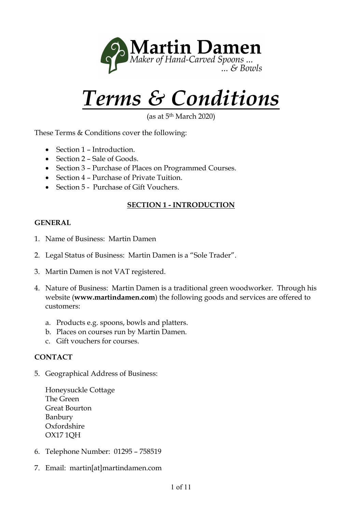

# *Terms & Conditions*

as at 5<sup>th</sup> March 2020)

These Terms & Conditions cover the following:

- Section 1 Introduction.
- Section 2 Sale of Goods.
- Section 3 Purchase of Places on Programmed Courses.
- Section 4 Purchase of Private Tuition.
- Section 5 Purchase of Gift Vouchers.

## **SECTION 1 - INTRODUCTION**

#### **GENERAL**

- 1. Name of Business: Martin Damen
- 2. Legal Status of Business: Martin Damen is a "Sole Trader".
- 3. Martin Damen is not VAT registered.
- 4. Nature of Business: Martin Damen is a traditional green woodworker. Through his website (**www.martindamen.com**) the following goods and services are offered to customers:
	- a. Products e.g. spoons, bowls and platters.
	- b. Places on courses run by Martin Damen.
	- c. Gift vouchers for courses.

#### **CONTACT**

5. Geographical Address of Business:

Honeysuckle Cottage The Green Great Bourton Banbury Oxfordshire OX17 1QH

- 6. Telephone Number: 01295 758519
- 7. Email: martin[at]martindamen.com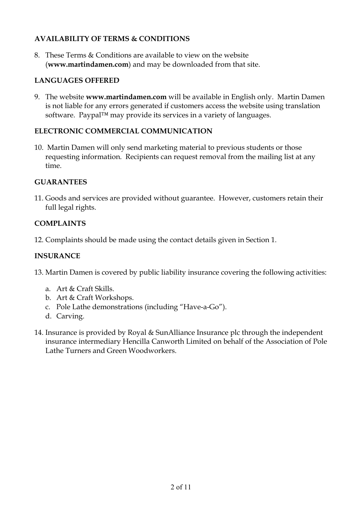## **AVAILABILITY OF TERMS & CONDITIONS**

8. These Terms & Conditions are available to view on the website (**www.martindamen.com**) and may be downloaded from that site.

## **LANGUAGES OFFERED**

9. The website **www.martindamen.com** will be available in English only. Martin Damen is not liable for any errors generated if customers access the website using translation software. Paypal™ may provide its services in a variety of languages.

#### **ELECTRONIC COMMERCIAL COMMUNICATION**

10. Martin Damen will only send marketing material to previous students or those requesting information. Recipients can request removal from the mailing list at any time.

#### **GUARANTEES**

11. Goods and services are provided without guarantee. However, customers retain their full legal rights.

## **COMPLAINTS**

12. Complaints should be made using the contact details given in Section 1.

## **INSURANCE**

- 13. Martin Damen is covered by public liability insurance covering the following activities:
	- a. Art & Craft Skills.
	- b. Art & Craft Workshops.
	- c. Pole Lathe demonstrations (including "Have-a-Go").
	- d. Carving.
- 14. Insurance is provided by Royal & SunAlliance Insurance plc through the independent insurance intermediary Hencilla Canworth Limited on behalf of the Association of Pole Lathe Turners and Green Woodworkers.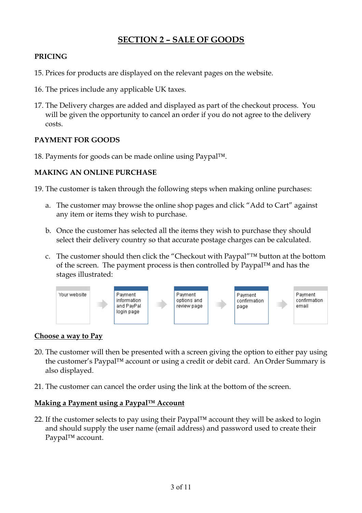# **SECTION 2 – SALE OF GOODS**

## **PRICING**

- 15. Prices for products are displayed on the relevant pages on the website.
- 16. The prices include any applicable UK taxes.
- 17. The Delivery charges are added and displayed as part of the checkout process. You will be given the opportunity to cancel an order if you do not agree to the delivery costs.

## **PAYMENT FOR GOODS**

18. Payments for goods can be made online using Paypal™.

## **MAKING AN ONLINE PURCHASE**

- 19. The customer is taken through the following steps when making online purchases:
	- a. The customer may browse the online shop pages and click "Add to Cart" against any item or items they wish to purchase.
	- b. Once the customer has selected all the items they wish to purchase they should select their delivery country so that accurate postage charges can be calculated.
	- c. The customer should then click the "Checkout with Paypal"™ button at the bottom of the screen. The payment process is then controlled by Paypal™ and has the stages illustrated:



#### **Choose a way to Pay**

- 20. The customer will then be presented with a screen giving the option to either pay using the customer's Paypal™ account or using a credit or debit card. An Order Summary is also displayed.
- 21. The customer can cancel the order using the link at the bottom of the screen.

## **Making a Payment using a Paypal™ Account**

22. If the customer selects to pay using their Paypal™ account they will be asked to login and should supply the user name (email address) and password used to create their Paypal™ account.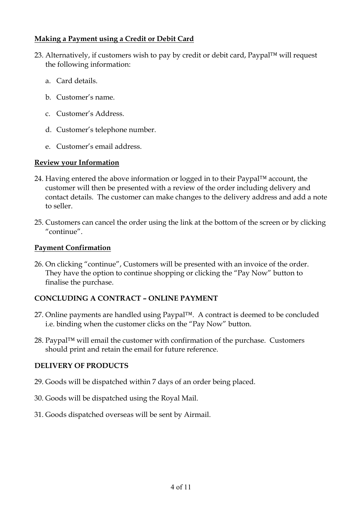#### **Making a Payment using a Credit or Debit Card**

- 23. Alternatively, if customers wish to pay by credit or debit card, Paypal™ will request the following information:
	- a. Card details.
	- b. Customer's name.
	- c. Customer's Address.
	- d. Customer's telephone number.
	- e. Customer's email address.

## **Review your Information**

- 24. Having entered the above information or logged in to their Paypal $TM$  account, the customer will then be presented with a review of the order including delivery and contact details. The customer can make changes to the delivery address and add a note to seller.
- 25. Customers can cancel the order using the link at the bottom of the screen or by clicking "continue".

## **Payment Confirmation**

26. On clicking "continue", Customers will be presented with an invoice of the order. They have the option to continue shopping or clicking the "Pay Now" button to finalise the purchase.

## **CONCLUDING A CONTRACT – ONLINE PAYMENT**

- 27. Online payments are handled using Paypal™. A contract is deemed to be concluded i.e. binding when the customer clicks on the "Pay Now" button.
- 28. Paypal™ will email the customer with confirmation of the purchase. Customers should print and retain the email for future reference.

#### **DELIVERY OF PRODUCTS**

- 29. Goods will be dispatched within 7 days of an order being placed.
- 30. Goods will be dispatched using the Royal Mail.
- 31. Goods dispatched overseas will be sent by Airmail.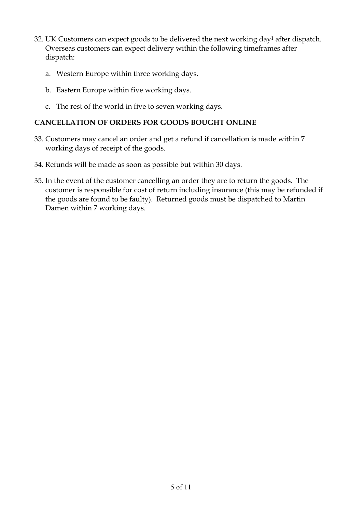- 32. UK Customers can expect goods to be delivered the next working day<sup>1</sup> after dispatch. Overseas customers can expect delivery within the following timeframes after dispatch:
	- a. Western Europe within three working days.
	- b. Eastern Europe within five working days.
	- c. The rest of the world in five to seven working days.

## **CANCELLATION OF ORDERS FOR GOODS BOUGHT ONLINE**

- 33. Customers may cancel an order and get a refund if cancellation is made within 7 working days of receipt of the goods.
- 34. Refunds will be made as soon as possible but within 30 days.
- 35. In the event of the customer cancelling an order they are to return the goods. The customer is responsible for cost of return including insurance (this may be refunded if the goods are found to be faulty). Returned goods must be dispatched to Martin Damen within 7 working days.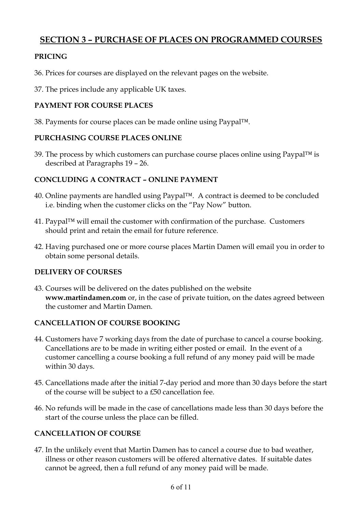# **SECTION 3 – PURCHASE OF PLACES ON PROGRAMMED COURSES**

## **PRICING**

- 36. Prices for courses are displayed on the relevant pages on the website.
- 37. The prices include any applicable UK taxes.

## **PAYMENT FOR COURSE PLACES**

38. Payments for course places can be made online using Paypal™.

## **PURCHASING COURSE PLACES ONLINE**

39. The process by which customers can purchase course places online using Paypal™ is described at Paragraphs 19 – 26.

## **CONCLUDING A CONTRACT – ONLINE PAYMENT**

- 40. Online payments are handled using Paypal™. A contract is deemed to be concluded i.e. binding when the customer clicks on the "Pay Now" button.
- 41. Paypal™ will email the customer with confirmation of the purchase. Customers should print and retain the email for future reference.
- 42. Having purchased one or more course places Martin Damen will email you in order to obtain some personal details.

## **DELIVERY OF COURSES**

43. Courses will be delivered on the dates published on the website **www.martindamen.com** or, in the case of private tuition, on the dates agreed between the customer and Martin Damen.

## **CANCELLATION OF COURSE BOOKING**

- 44. Customers have 7 working days from the date of purchase to cancel a course booking. Cancellations are to be made in writing either posted or email. In the event of a customer cancelling a course booking a full refund of any money paid will be made within 30 days.
- 45. Cancellations made after the initial 7-day period and more than 30 days before the start of the course will be subject to a £50 cancellation fee.
- 46. No refunds will be made in the case of cancellations made less than 30 days before the start of the course unless the place can be filled.

## **CANCELLATION OF COURSE**

47. In the unlikely event that Martin Damen has to cancel a course due to bad weather, illness or other reason customers will be offered alternative dates. If suitable dates cannot be agreed, then a full refund of any money paid will be made.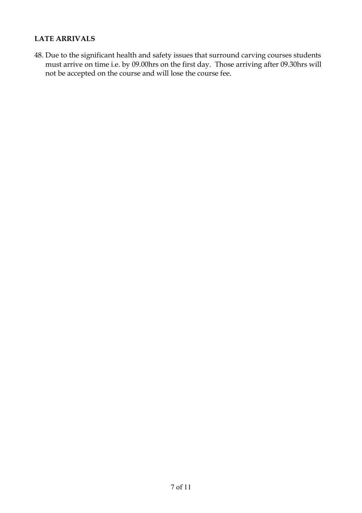#### **LATE ARRIVALS**

48. Due to the significant health and safety issues that surround carving courses students must arrive on time i.e. by 09.00hrs on the first day. Those arriving after 09.30hrs will not be accepted on the course and will lose the course fee.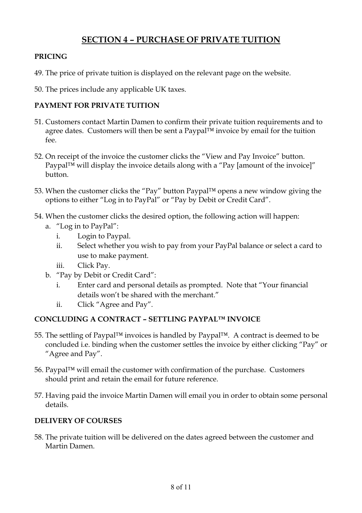# **SECTION 4 – PURCHASE OF PRIVATE TUITION**

#### **PRICING**

- 49. The price of private tuition is displayed on the relevant page on the website.
- 50. The prices include any applicable UK taxes.

## **PAYMENT FOR PRIVATE TUITION**

- 51. Customers contact Martin Damen to confirm their private tuition requirements and to agree dates. Customers will then be sent a Paypal™ invoice by email for the tuition fee.
- 52. On receipt of the invoice the customer clicks the "View and Pay Invoice" button. Paypal™ will display the invoice details along with a "Pay [amount of the invoice]" button.
- 53. When the customer clicks the "Pay" button Paypal™ opens a new window giving the options to either "Log in to PayPal" or "Pay by Debit or Credit Card".
- 54. When the customer clicks the desired option, the following action will happen:
	- a. "Log in to PayPal":
		- i. Login to Paypal.
		- ii. Select whether you wish to pay from your PayPal balance or select a card to use to make payment.
		- iii. Click Pay.
	- b. "Pay by Debit or Credit Card":
		- i. Enter card and personal details as prompted. Note that "Your financial details won't be shared with the merchant."
		- ii. Click "Agree and Pay".

## **CONCLUDING A CONTRACT – SETTLING PAYPAL™ INVOICE**

- 55. The settling of Paypal™ invoices is handled by Paypal™. A contract is deemed to be concluded i.e. binding when the customer settles the invoice by either clicking "Pay" or "Agree and Pay".
- 56. Paypal™ will email the customer with confirmation of the purchase. Customers should print and retain the email for future reference.
- 57. Having paid the invoice Martin Damen will email you in order to obtain some personal details.

#### **DELIVERY OF COURSES**

58. The private tuition will be delivered on the dates agreed between the customer and Martin Damen.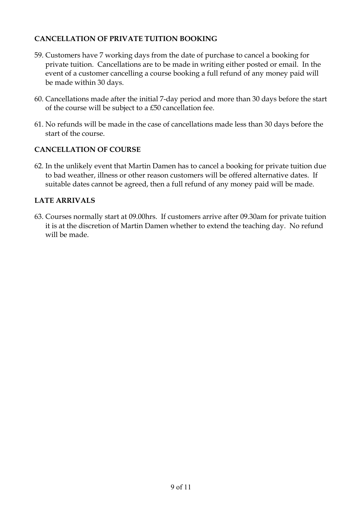## **CANCELLATION OF PRIVATE TUITION BOOKING**

- 59. Customers have 7 working days from the date of purchase to cancel a booking for private tuition. Cancellations are to be made in writing either posted or email. In the event of a customer cancelling a course booking a full refund of any money paid will be made within 30 days.
- 60. Cancellations made after the initial 7-day period and more than 30 days before the start of the course will be subject to a £50 cancellation fee.
- 61. No refunds will be made in the case of cancellations made less than 30 days before the start of the course.

## **CANCELLATION OF COURSE**

62. In the unlikely event that Martin Damen has to cancel a booking for private tuition due to bad weather, illness or other reason customers will be offered alternative dates. If suitable dates cannot be agreed, then a full refund of any money paid will be made.

#### **LATE ARRIVALS**

63. Courses normally start at 09.00hrs. If customers arrive after 09.30am for private tuition it is at the discretion of Martin Damen whether to extend the teaching day. No refund will be made.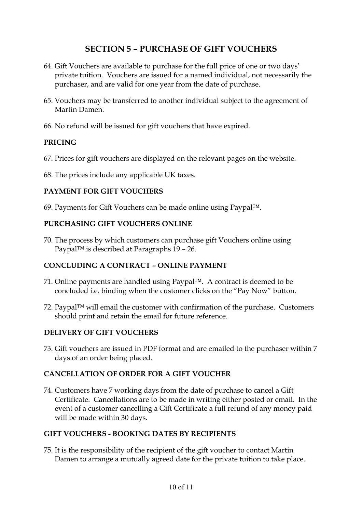## **SECTION 5 – PURCHASE OF GIFT VOUCHERS**

- 64. Gift Vouchers are available to purchase for the full price of one or two days' private tuition. Vouchers are issued for a named individual, not necessarily the purchaser, and are valid for one year from the date of purchase.
- 65. Vouchers may be transferred to another individual subject to the agreement of Martin Damen.
- 66. No refund will be issued for gift vouchers that have expired.

#### **PRICING**

- 67. Prices for gift vouchers are displayed on the relevant pages on the website.
- 68. The prices include any applicable UK taxes.

#### **PAYMENT FOR GIFT VOUCHERS**

69. Payments for Gift Vouchers can be made online using Paypal™.

#### **PURCHASING GIFT VOUCHERS ONLINE**

70. The process by which customers can purchase gift Vouchers online using Paypal™ is described at Paragraphs 19 – 26.

## **CONCLUDING A CONTRACT – ONLINE PAYMENT**

- 71. Online payments are handled using Paypal™. A contract is deemed to be concluded i.e. binding when the customer clicks on the "Pay Now" button.
- 72. Paypal™ will email the customer with confirmation of the purchase. Customers should print and retain the email for future reference.

#### **DELIVERY OF GIFT VOUCHERS**

73. Gift vouchers are issued in PDF format and are emailed to the purchaser within 7 days of an order being placed.

#### **CANCELLATION OF ORDER FOR A GIFT VOUCHER**

74. Customers have 7 working days from the date of purchase to cancel a Gift Certificate. Cancellations are to be made in writing either posted or email. In the event of a customer cancelling a Gift Certificate a full refund of any money paid will be made within 30 days.

#### **GIFT VOUCHERS - BOOKING DATES BY RECIPIENTS**

75. It is the responsibility of the recipient of the gift voucher to contact Martin Damen to arrange a mutually agreed date for the private tuition to take place.